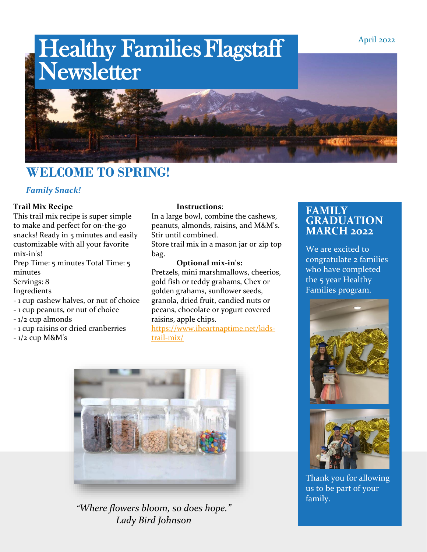

## **WELCOME TO SPRING!**

#### *Family Snack!*

#### **Trail Mix Recipe**

This trail mix recipe is super simple to make and perfect for on-the-go snacks! Ready in 5 minutes and easily customizable with all your favorite mix-in's!

Prep Time: 5 minutes Total Time: 5 minutes

#### Servings: 8

#### Ingredients

- 1 cup cashew halves, or nut of choice
- 1 cup peanuts, or nut of choice
- 1/2 cup almonds
- 1 cup raisins or dried cranberries
- $-1/2$  cup M&M's

#### **Instructions**:

In a large bowl, combine the cashews, peanuts, almonds, raisins, and M&M's. Stir until combined.

Store trail mix in a mason jar or zip top bag.

**Optional mix-in's:** Pretzels, mini marshmallows, cheerios, gold fish or teddy grahams, Chex or golden grahams, sunflower seeds, granola, dried fruit, candied nuts or pecans, chocolate or yogurt covered raisins, apple chips.

[https://www.iheartnaptime.net/kids](https://www.iheartnaptime.net/kids-trail-mix/)[trail-mix/](https://www.iheartnaptime.net/kids-trail-mix/)



*"Where flowers bloom, so does hope." Lady Bird Johnson*

### **FAMILY GRADUATION MARCH 2022**

We are excited to congratulate 2 families who have completed the 5 year Healthy Families program.





Thank you for allowing us to be part of your family.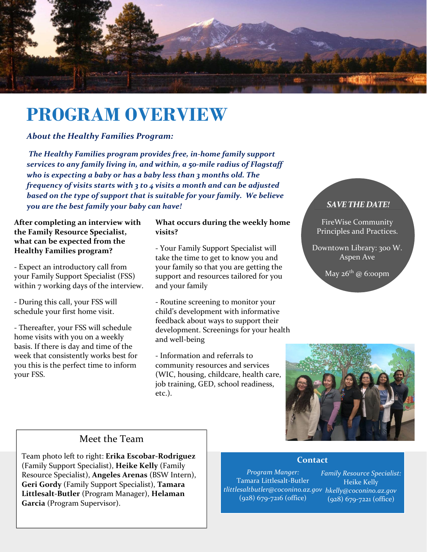

# **PROGRAM OVERVIEW**

#### *About the Healthy Families Program:*

*The Healthy Families program provides free, in-home family support services to any family living in, and within, a 50-mile radius of Flagstaff who is expecting a baby or has a baby less than 3 months old. The frequency of visits starts with 3 to 4 visits a month and can be adjusted based on the type of support that is suitable for your family. We believe you are the best family your baby can have!*

#### **After completing an interview with the Family Resource Specialist, what can be expected from the Healthy Families program?**

- Expect an introductory call from your Family Support Specialist (FSS) within 7 working days of the interview.

- During this call, your FSS will schedule your first home visit.

- Thereafter, your FSS will schedule home visits with you on a weekly basis. If there is day and time of the week that consistently works best for you this is the perfect time to inform your FSS.

#### **What occurs during the weekly home visits?**

- Your Family Support Specialist will take the time to get to know you and your family so that you are getting the support and resources tailored for you and your family

- Routine screening to monitor your child's development with informative feedback about ways to support their development. Screenings for your health and well-being

- Information and referrals to community resources and services (WIC, housing, childcare, health care, job training, GED, school readiness, etc.).

#### *SAVE THE DATE!*

FireWise Community Principles and Practices.

Downtown Library: 300 W. Aspen Ave

May  $26<sup>th</sup>$  @ 6:00pm



### Meet the Team

Team photo left to right: **Erika Escobar-Rodriguez** (Family Support Specialist), **Heike Kelly** (Family Resource Specialist), **Angeles Arenas** (BSW Intern), **Geri Gordy** (Family Support Specialist), **Tamara Littlesalt-Butler** (Program Manager), **Helaman Garcia** (Program Supervisor).

#### **Contact**

*Program Manger:* Tamara Littlesalt-Butler *[tlittlesaltbutler@coconino.az.gov](mailto:tlittlesaltbutler@coconino.az.gov) [hkelly@coconino.az.gov](mailto:hkelly@coconino.az.gov)* (928) 679-7216 (office)

*Family Resource Specialist:* Heike Kelly (928) 679-7221 (office)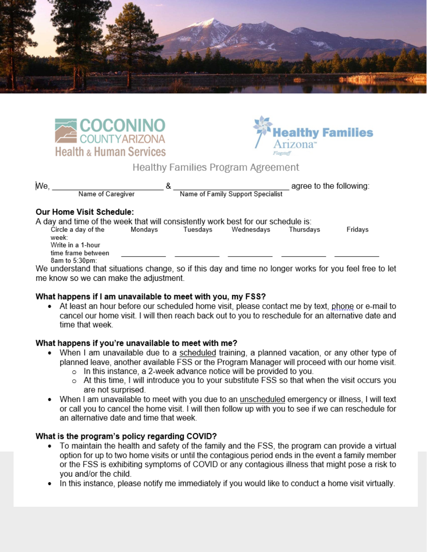





### **Healthy Families Program Agreement**

| Мe                       |                   |                                   | agree to the following: |
|--------------------------|-------------------|-----------------------------------|-------------------------|
|                          | Name of Caregiver | Name of Family Support Specialist |                         |
| Our Home Visit Schedule: |                   |                                   |                         |

A day and time of the week that will consistently work best for our schedule is: Circle a day of the Mondays Tuesdays Wednesdays Thursdays Fridays week: Write in a 1-hour time frame between 8am to 5:30pm:

We understand that situations change, so if this day and time no longer works for you feel free to let me know so we can make the adjustment.

#### What happens if I am unavailable to meet with you, my FSS?

• At least an hour before our scheduled home visit, please contact me by text, phone or e-mail to cancel our home visit. I will then reach back out to you to reschedule for an alternative date and time that week

#### What happens if you're unavailable to meet with me?

- When I am unavailable due to a scheduled training, a planned vacation, or any other type of planned leave, another available FSS or the Program Manager will proceed with our home visit.
	- o In this instance, a 2-week advance notice will be provided to you.
	- o At this time, I will introduce you to your substitute FSS so that when the visit occurs you are not surprised.
- When I am unavailable to meet with you due to an unscheduled emergency or illness, I will text or call you to cancel the home visit. I will then follow up with you to see if we can reschedule for an alternative date and time that week.

#### What is the program's policy regarding COVID?

- To maintain the health and safety of the family and the FSS, the program can provide a virtual option for up to two home visits or until the contagious period ends in the event a family member or the FSS is exhibiting symptoms of COVID or any contagious illness that might pose a risk to you and/or the child.
- In this instance, please notify me immediately if you would like to conduct a home visit virtually.